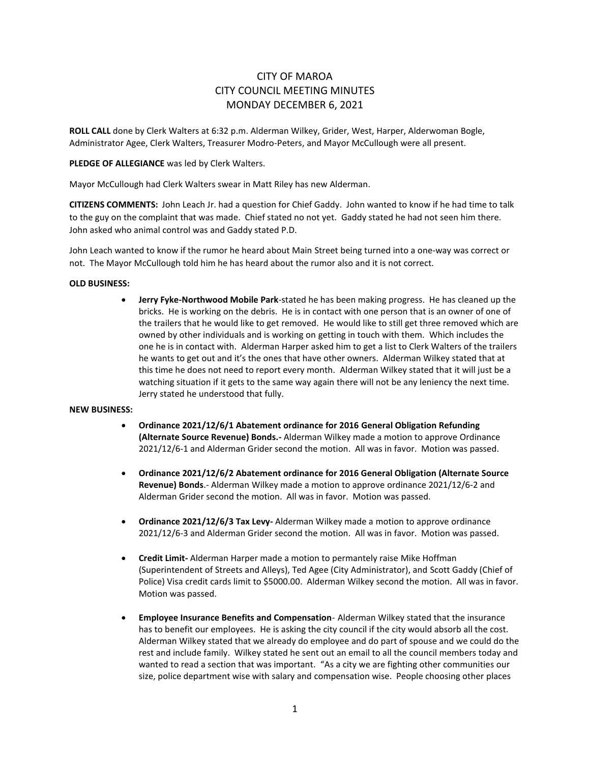# CITY OF MAROA CITY COUNCIL MEETING MINUTES MONDAY DECEMBER 6, 2021

**ROLL CALL** done by Clerk Walters at 6:32 p.m. Alderman Wilkey, Grider, West, Harper, Alderwoman Bogle, Administrator Agee, Clerk Walters, Treasurer Modro-Peters, and Mayor McCullough were all present.

## **PLEDGE OF ALLEGIANCE** was led by Clerk Walters.

Mayor McCullough had Clerk Walters swear in Matt Riley has new Alderman.

**CITIZENS COMMENTS:** John Leach Jr. had a question for Chief Gaddy. John wanted to know if he had time to talk to the guy on the complaint that was made. Chief stated no not yet. Gaddy stated he had not seen him there. John asked who animal control was and Gaddy stated P.D.

John Leach wanted to know if the rumor he heard about Main Street being turned into a one-way was correct or not. The Mayor McCullough told him he has heard about the rumor also and it is not correct.

# **OLD BUSINESS:**

• **Jerry Fyke-Northwood Mobile Park**-stated he has been making progress. He has cleaned up the bricks. He is working on the debris. He is in contact with one person that is an owner of one of the trailers that he would like to get removed. He would like to still get three removed which are owned by other individuals and is working on getting in touch with them. Which includes the one he is in contact with. Alderman Harper asked him to get a list to Clerk Walters of the trailers he wants to get out and it's the ones that have other owners. Alderman Wilkey stated that at this time he does not need to report every month. Alderman Wilkey stated that it will just be a watching situation if it gets to the same way again there will not be any leniency the next time. Jerry stated he understood that fully.

#### **NEW BUSINESS:**

- **Ordinance 2021/12/6/1 Abatement ordinance for 2016 General Obligation Refunding (Alternate Source Revenue) Bonds.-** Alderman Wilkey made a motion to approve Ordinance 2021/12/6-1 and Alderman Grider second the motion. All was in favor. Motion was passed.
- **Ordinance 2021/12/6/2 Abatement ordinance for 2016 General Obligation (Alternate Source Revenue) Bonds**.- Alderman Wilkey made a motion to approve ordinance 2021/12/6-2 and Alderman Grider second the motion. All was in favor. Motion was passed.
- **Ordinance 2021/12/6/3 Tax Levy-** Alderman Wilkey made a motion to approve ordinance 2021/12/6-3 and Alderman Grider second the motion. All was in favor. Motion was passed.
- **Credit Limit-** Alderman Harper made a motion to permantely raise Mike Hoffman (Superintendent of Streets and Alleys), Ted Agee (City Administrator), and Scott Gaddy (Chief of Police) Visa credit cards limit to \$5000.00. Alderman Wilkey second the motion. All was in favor. Motion was passed.
- **Employee Insurance Benefits and Compensation** Alderman Wilkey stated that the insurance has to benefit our employees. He is asking the city council if the city would absorb all the cost. Alderman Wilkey stated that we already do employee and do part of spouse and we could do the rest and include family. Wilkey stated he sent out an email to all the council members today and wanted to read a section that was important. "As a city we are fighting other communities our size, police department wise with salary and compensation wise. People choosing other places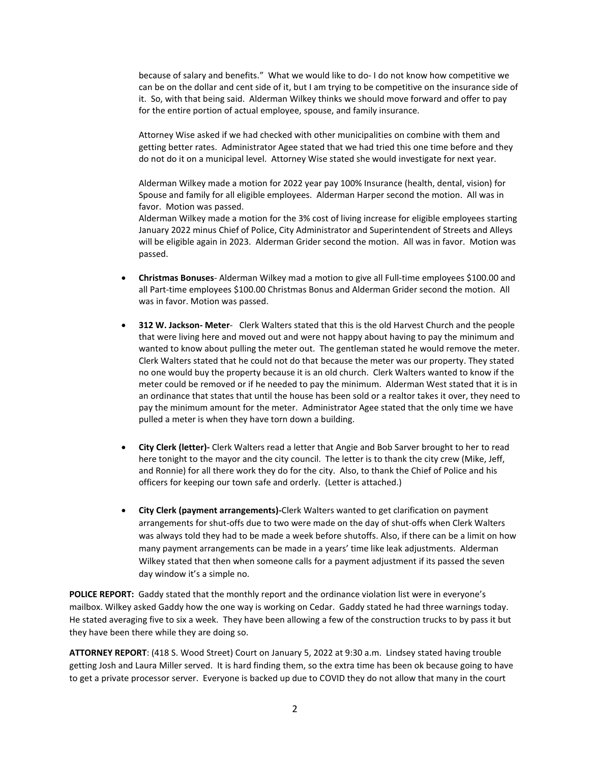because of salary and benefits." What we would like to do- I do not know how competitive we can be on the dollar and cent side of it, but I am trying to be competitive on the insurance side of it. So, with that being said. Alderman Wilkey thinks we should move forward and offer to pay for the entire portion of actual employee, spouse, and family insurance.

Attorney Wise asked if we had checked with other municipalities on combine with them and getting better rates. Administrator Agee stated that we had tried this one time before and they do not do it on a municipal level. Attorney Wise stated she would investigate for next year.

Alderman Wilkey made a motion for 2022 year pay 100% Insurance (health, dental, vision) for Spouse and family for all eligible employees. Alderman Harper second the motion. All was in favor. Motion was passed.

Alderman Wilkey made a motion for the 3% cost of living increase for eligible employees starting January 2022 minus Chief of Police, City Administrator and Superintendent of Streets and Alleys will be eligible again in 2023. Alderman Grider second the motion. All was in favor. Motion was passed.

- **Christmas Bonuses** Alderman Wilkey mad a motion to give all Full-time employees \$100.00 and all Part-time employees \$100.00 Christmas Bonus and Alderman Grider second the motion. All was in favor. Motion was passed.
- **312 W. Jackson- Meter** Clerk Walters stated that this is the old Harvest Church and the people that were living here and moved out and were not happy about having to pay the minimum and wanted to know about pulling the meter out. The gentleman stated he would remove the meter. Clerk Walters stated that he could not do that because the meter was our property. They stated no one would buy the property because it is an old church. Clerk Walters wanted to know if the meter could be removed or if he needed to pay the minimum. Alderman West stated that it is in an ordinance that states that until the house has been sold or a realtor takes it over, they need to pay the minimum amount for the meter. Administrator Agee stated that the only time we have pulled a meter is when they have torn down a building.
- **City Clerk (letter)-** Clerk Walters read a letter that Angie and Bob Sarver brought to her to read here tonight to the mayor and the city council. The letter is to thank the city crew (Mike, Jeff, and Ronnie) for all there work they do for the city. Also, to thank the Chief of Police and his officers for keeping our town safe and orderly. (Letter is attached.)
- **City Clerk (payment arrangements)-**Clerk Walters wanted to get clarification on payment arrangements for shut-offs due to two were made on the day of shut-offs when Clerk Walters was always told they had to be made a week before shutoffs. Also, if there can be a limit on how many payment arrangements can be made in a years' time like leak adjustments.Alderman Wilkey stated that then when someone calls for a payment adjustment if its passed the seven day window it's a simple no.

**POLICE REPORT:** Gaddy stated that the monthly report and the ordinance violation list were in everyone's mailbox. Wilkey asked Gaddy how the one way is working on Cedar. Gaddy stated he had three warnings today. He stated averaging five to six a week. They have been allowing a few of the construction trucks to by pass it but they have been there while they are doing so.

**ATTORNEY REPORT**: (418 S. Wood Street) Court on January 5, 2022 at 9:30 a.m. Lindsey stated having trouble getting Josh and Laura Miller served. It is hard finding them, so the extra time has been ok because going to have to get a private processor server. Everyone is backed up due to COVID they do not allow that many in the court